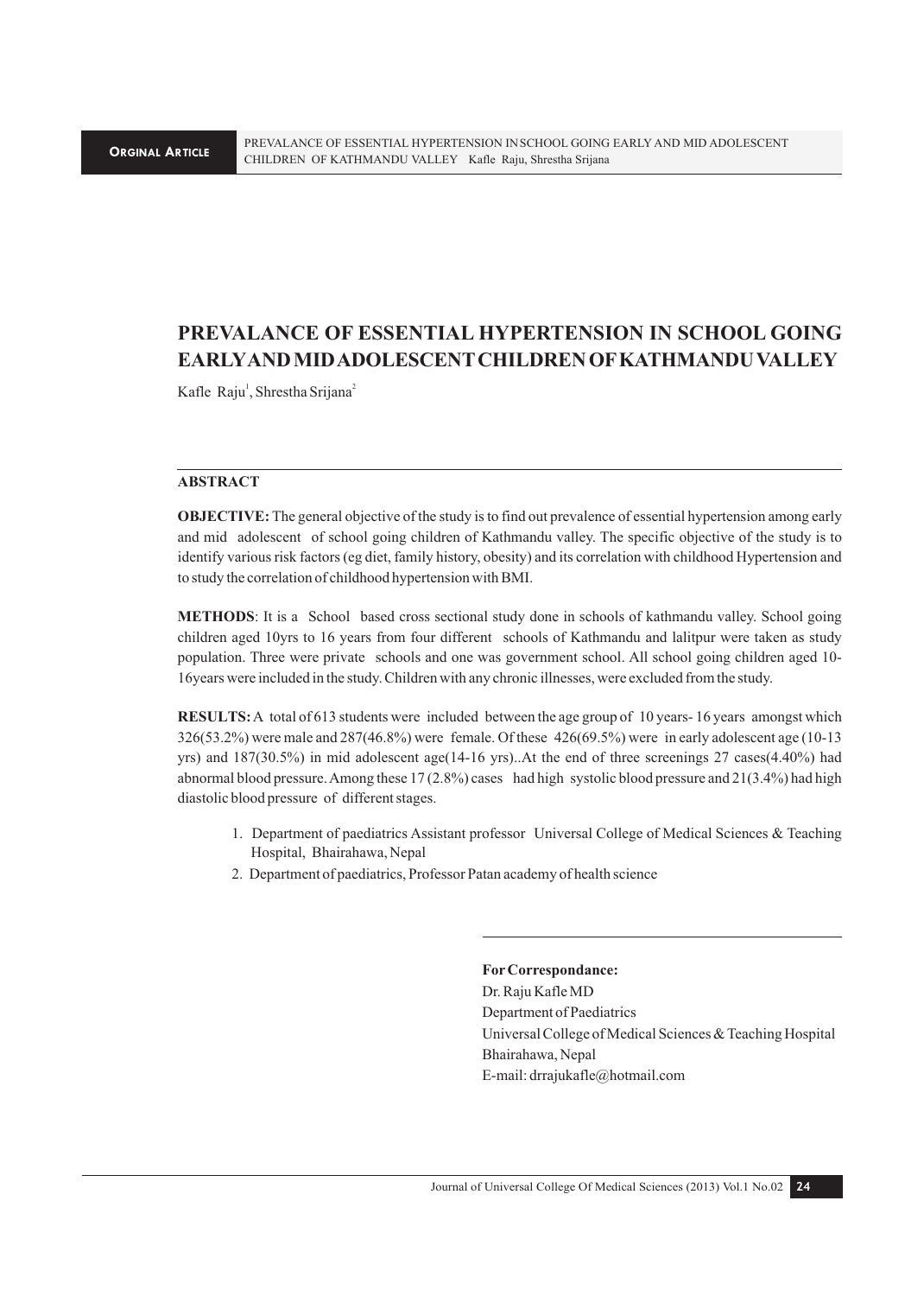## **PREVALANCE OF ESSENTIAL HYPERTENSION IN SCHOOL GOING EARLY AND MID ADOLESCENT CHILDREN OF KATHMANDU VALLEY**

Kafle Raju<sup>1</sup>, Shrestha Srijana<sup>2</sup>

## **ABSTRACT**

**OBJECTIVE:** The general objective of the study is to find out prevalence of essential hypertension among early and mid adolescent of school going children of Kathmandu valley. The specific objective of the study is to identify various risk factors (eg diet, family history, obesity) and its correlation with childhood Hypertension and to study the correlation of childhood hypertension with BMI.

**METHODS**: It is a School based cross sectional study done in schools of kathmandu valley. School going children aged 10yrs to 16 years from four different schools of Kathmandu and lalitpur were taken as study population. Three were private schools and one was government school. All school going children aged 10- 16years were included in the study. Children with any chronic illnesses, were excluded from the study.

**RESULTS:** A total of 613 students were included between the age group of 10 years- 16 years amongst which 326(53.2%) were male and 287(46.8%) were female. Of these 426(69.5%) were in early adolescent age (10-13 yrs) and 187(30.5%) in mid adolescent age(14-16 yrs)..At the end of three screenings 27 cases(4.40%) had abnormal blood pressure. Among these 17 (2.8%) cases had high systolic blood pressure and 21(3.4%) had high diastolic blood pressure of different stages.

- 1. Department of paediatrics Assistant professor Universal College of Medical Sciences & Teaching Hospital, Bhairahawa, Nepal
- 2. Department of paediatrics, Professor Patan academy of health science

**For Correspondance:**  Dr. Raju Kafle MD Department of Paediatrics Universal College of Medical Sciences & Teaching Hospital Bhairahawa, Nepal E-mail: drrajukafle@hotmail.com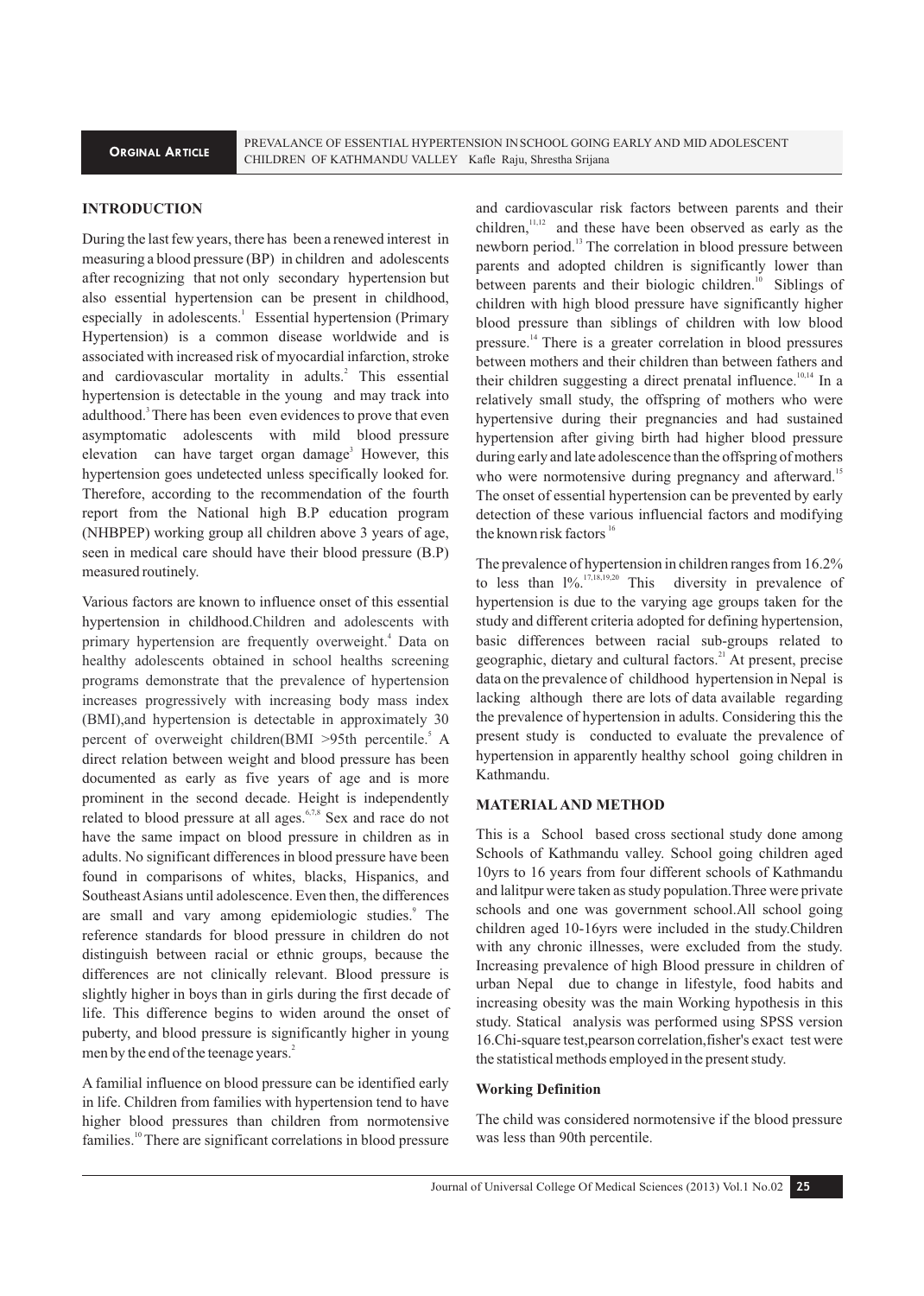## **INTRODUCTION**

During the last few years, there has been a renewed interest in measuring a blood pressure (BP) in children and adolescents after recognizing that not only secondary hypertension but also essential hypertension can be present in childhood, especially in adolescents.<sup>1</sup> Essential hypertension (Primary Hypertension) is a common disease worldwide and is associated with increased risk of myocardial infarction, stroke and cardiovascular mortality in adults.<sup>2</sup> This essential hypertension is detectable in the young and may track into adulthood.<sup>3</sup> There has been even evidences to prove that even asymptomatic adolescents with mild blood pressure elevation can have target organ damage<sup>3</sup> However, this hypertension goes undetected unless specifically looked for. Therefore, according to the recommendation of the fourth report from the National high B.P education program (NHBPEP) working group all children above 3 years of age, seen in medical care should have their blood pressure (B.P) measured routinely.

Various factors are known to influence onset of this essential hypertension in childhood. Children and adolescents with percent of overweight children(BMI >95th percentile.<sup>5</sup> A direct relation between weight and blood pressure has been documented as early as five years of age and is more prominent in the second decade. Height is independently related to blood pressure at all ages.<sup>6,7,8</sup> Sex and race do not have the same impact on blood pressure in children as in adults. No significant differences in blood pressure have been found in comparisons of whites, blacks, Hispanics, and Southeast Asians until adolescence. Even then, the differences are small and vary among epidemiologic studies.<sup>9</sup> The reference standards for blood pressure in children do not distinguish between racial or ethnic groups, because the differences are not clinically relevant. Blood pressure is slightly higher in boys than in girls during the first decade of life. This difference begins to widen around the onset of puberty, and blood pressure is significantly higher in young men by the end of the teenage years.<sup>2</sup> primary hypertension are frequently overweight.<sup>4</sup> Data on healthy adolescents obtained in school healths screening programs demonstrate that the prevalence of hypertension increases progressively with increasing body mass index (BMI),and hypertension is detectable in approximately 30

A familial influence on blood pressure can be identified early in life. Children from families with hypertension tend to have higher blood pressures than children from normotensive families.<sup>10</sup> There are significant correlations in blood pressure

and cardiovascular risk factors between parents and their children,  $n<sub>1,12</sub>$  and these have been observed as early as the newborn period.<sup>13</sup> The correlation in blood pressure between parents and adopted children is significantly lower than between parents and their biologic children.<sup>10</sup> Siblings of children with high blood pressure have significantly higher blood pressure than siblings of children with low blood pressure.<sup> $14$ </sup> There is a greater correlation in blood pressures between mothers and their children than between fathers and their children suggesting a direct prenatal influence.<sup>10,14</sup> In a relatively small study, the offspring of mothers who were hypertensive during their pregnancies and had sustained hypertension after giving birth had higher blood pressure during early and late adolescence than the offspring of mothers who were normotensive during pregnancy and afterward.<sup>15</sup> The onset of essential hypertension can be prevented by early detection of these various influencial factors and modifying the known risk factors  $16$ 

The prevalence of hypertension in children ranges from 16.2% to less than  $1\%$ <sup>17,18,19,20</sup> This diversity in prevalence of hypertension is due to the varying age groups taken for the study and different criteria adopted for defining hypertension, basic differences between racial sub-groups related to geographic, dietary and cultural factors. $^{21}$  At present, precise data on the prevalence of childhood hypertension in Nepal is lacking although there are lots of data available regarding the prevalence of hypertension in adults. Considering this the present study is conducted to evaluate the prevalence of hypertension in apparently healthy school going children in Kathmandu.

## **MATERIAL AND METHOD**

This is a School based cross sectional study done among Schools of Kathmandu valley. School going children aged 10yrs to 16 years from four different schools of Kathmandu and lalitpur were taken as study population.Three were private schools and one was government school.All school going children aged 10-16yrs were included in the study.Children with any chronic illnesses, were excluded from the study. Increasing prevalence of high Blood pressure in children of urban Nepal due to change in lifestyle, food habits and increasing obesity was the main Working hypothesis in this study. Statical analysis was performed using SPSS version 16.Chi-square test,pearson correlation,fisher's exact test were the statistical methods employed in the present study.

## **Working Definition**

The child was considered normotensive if the blood pressure was less than 90th percentile.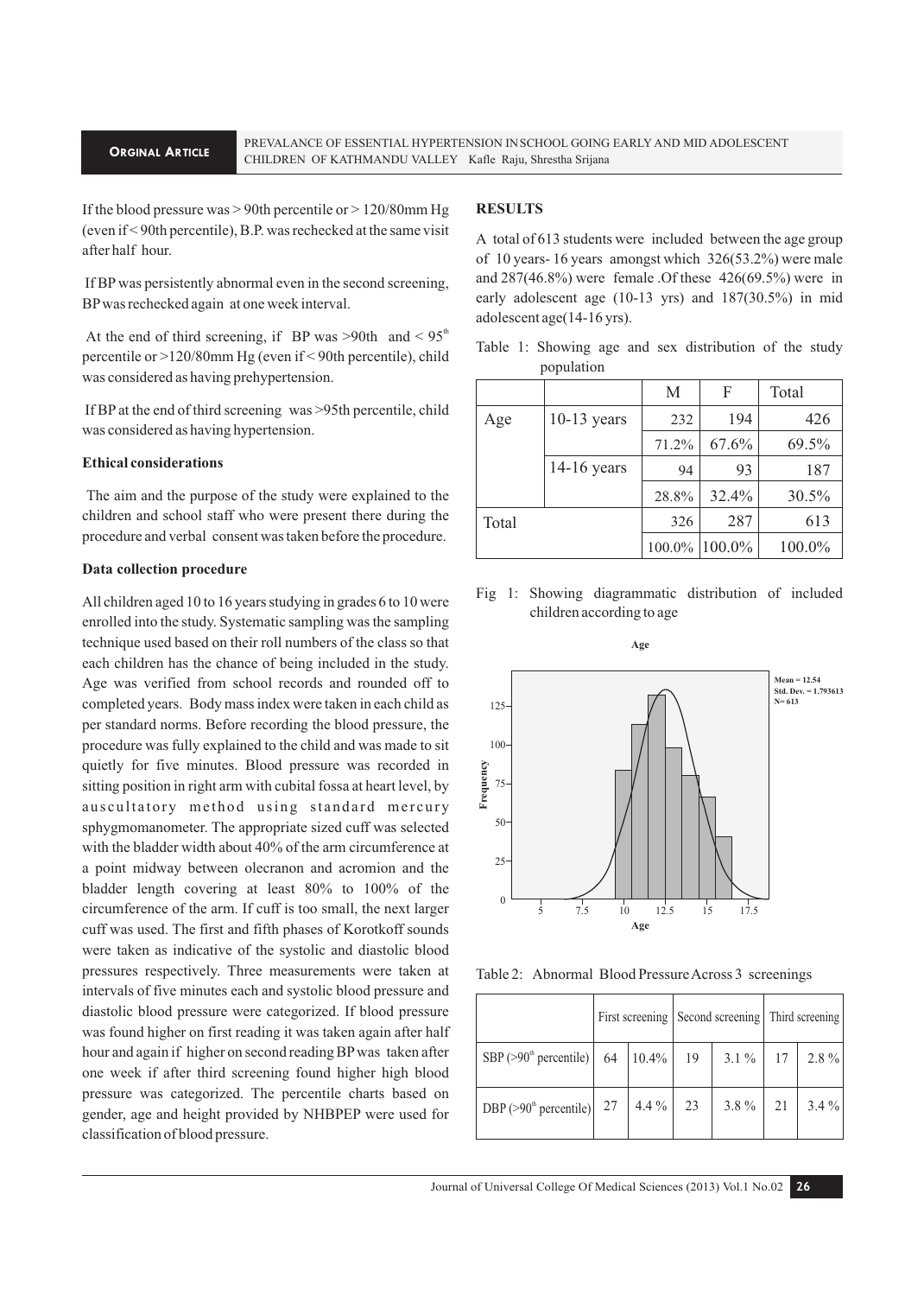#### **ORGINAL ARTICLE**

If the blood pressure was > 90th percentile or > 120/80mm Hg (even if < 90th percentile), B.P. was rechecked at the same visit after half hour.

 If BP was persistently abnormal even in the second screening, BP was rechecked again at one week interval.

At the end of third screening, if BP was  $>90$ th and  $< 95<sup>th</sup>$ percentile or >120/80mm Hg (even if < 90th percentile), child was considered as having prehypertension.

 If BP at the end of third screening was >95th percentile, child was considered as having hypertension.

## **Ethical considerations**

The aim and the purpose of the study were explained to the children and school staff who were present there during the procedure and verbal consent was taken before the procedure.

### **Data collection procedure**

All children aged 10 to 16 years studying in grades 6 to 10 were enrolled into the study. Systematic sampling was the sampling technique used based on their roll numbers of the class so that each children has the chance of being included in the study. Age was verified from school records and rounded off to completed years. Body mass index were taken in each child as per standard norms. Before recording the blood pressure, the procedure was fully explained to the child and was made to sit quietly for five minutes. Blood pressure was recorded in sitting position in right arm with cubital fossa at heart level, by auscultatory method using standard mercury sphygmomanometer. The appropriate sized cuff was selected with the bladder width about 40% of the arm circumference at a point midway between olecranon and acromion and the bladder length covering at least 80% to 100% of the circumference of the arm. If cuff is too small, the next larger cuff was used. The first and fifth phases of Korotkoff sounds were taken as indicative of the systolic and diastolic blood pressures respectively. Three measurements were taken at intervals of five minutes each and systolic blood pressure and diastolic blood pressure were categorized. If blood pressure was found higher on first reading it was taken again after half hour and again if higher on second reading BP was taken after one week if after third screening found higher high blood pressure was categorized. The percentile charts based on gender, age and height provided by NHBPEP were used for classification of blood pressure.

## **RESULTS**

A total of 613 students were included between the age group of 10 years- 16 years amongst which 326(53.2%) were male and 287(46.8%) were female .Of these 426(69.5%) were in early adolescent age (10-13 yrs) and 187(30.5%) in mid adolescent age(14-16 yrs).

Table 1: Showing age and sex distribution of the study population

|       |               | M     | F             | Total  |
|-------|---------------|-------|---------------|--------|
| Age   | $10-13$ years | 232   | 194           | 426    |
|       |               | 71.2% | 67.6%         | 69.5%  |
|       | $14-16$ years | 94    | 93            | 187    |
|       |               | 28.8% | 32.4%         | 30.5%  |
| Total |               | 326   | 287           | 613    |
|       |               |       | 100.0% 100.0% | 100.0% |





Table 2: Abnormal Blood Pressure Across 3 screenings

|                                                                   |           |    | First screening   Second screening   Third screening |    |         |
|-------------------------------------------------------------------|-----------|----|------------------------------------------------------|----|---------|
| SBP (>90 <sup>th</sup> percentile)   64   10.4%   19   3.1 %   17 |           |    |                                                      |    | $2.8\%$ |
| DBP (>90 <sup>th</sup> percentile) $27$                           | $ 4.4\% $ | 23 | $3.8\%$                                              | 21 | $3.4\%$ |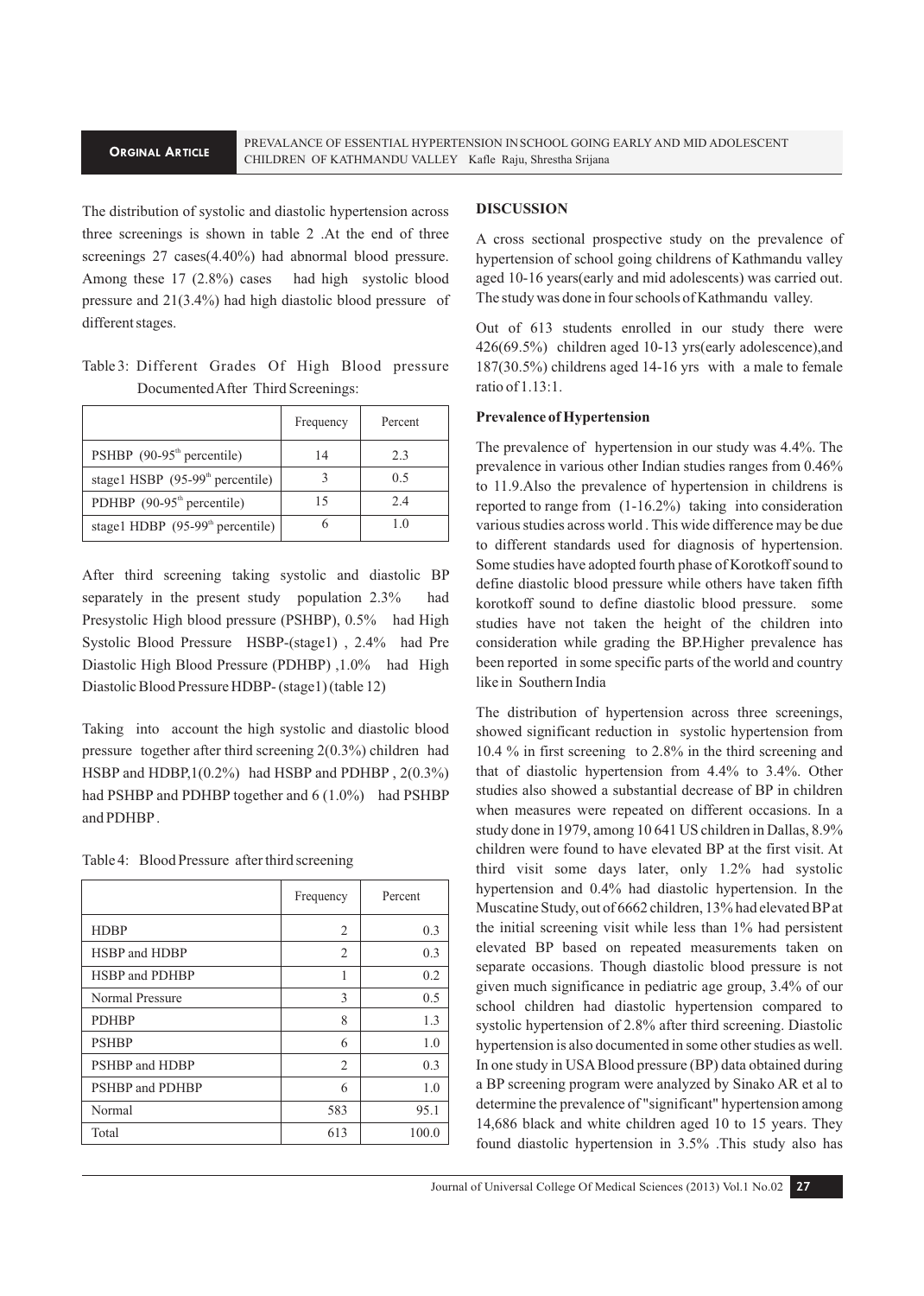#### **ORGINAL ARTICLE**

The distribution of systolic and diastolic hypertension across three screenings is shown in table 2 .At the end of three screenings 27 cases(4.40%) had abnormal blood pressure. Among these 17 (2.8%) cases had high systolic blood pressure and 21(3.4%) had high diastolic blood pressure of different stages.

Table 3: Different Grades Of High Blood pressure Documented After Third Screenings:

|                                    | Frequency | Percent |
|------------------------------------|-----------|---------|
| PSHBP $(90-95th$ percentile)       | 14        | 2.3     |
| stage1 HSBP $(95-99th$ percentile) |           | 0.5     |
| PDHBP $(90-95th$ percentile)       | 15        | 2.4     |
| stage1 HDBP $(95-99th$ percentile) |           | 10      |

After third screening taking systolic and diastolic BP separately in the present study population 2.3% had Presystolic High blood pressure (PSHBP), 0.5% had High Systolic Blood Pressure HSBP-(stage1) , 2.4% had Pre Diastolic High Blood Pressure (PDHBP) ,1.0% had High Diastolic Blood Pressure HDBP- (stage1) (table 12)

Taking into account the high systolic and diastolic blood pressure together after third screening 2(0.3%) children had HSBP and HDBP,1(0.2%) had HSBP and PDHBP , 2(0.3%) had PSHBP and PDHBP together and 6 (1.0%) had PSHBP and PDHBP .

| Table 4: Blood Pressure after third screening |  |
|-----------------------------------------------|--|
|-----------------------------------------------|--|

|                 | Frequency | Percent |
|-----------------|-----------|---------|
| <b>HDBP</b>     | 2         | 0.3     |
| HSBP and HDBP   | 2         | 0.3     |
| HSBP and PDHBP  | 1         | 0.2     |
| Normal Pressure | 3         | 0.5     |
| <b>PDHBP</b>    | 8         | 1.3     |
| <b>PSHBP</b>    | 6         | 1.0     |
| PSHBP and HDBP  | 2         | 0.3     |
| PSHBP and PDHBP | 6         | 1.0     |
| Normal          | 583       | 95.1    |
| Total           | 613       | 100.0   |

## **DISCUSSION**

A cross sectional prospective study on the prevalence of hypertension of school going childrens of Kathmandu valley aged 10-16 years(early and mid adolescents) was carried out. The study was done in four schools of Kathmandu valley.

Out of 613 students enrolled in our study there were 426(69.5%) children aged 10-13 yrs(early adolescence),and 187(30.5%) childrens aged 14-16 yrs with a male to female ratio of 1.13:1.

### **Prevalence of Hypertension**

The prevalence of hypertension in our study was 4.4%. The prevalence in various other Indian studies ranges from 0.46% to 11.9.Also the prevalence of hypertension in childrens is reported to range from (1-16.2%) taking into consideration various studies across world . This wide difference may be due to different standards used for diagnosis of hypertension. Some studies have adopted fourth phase of Korotkoff sound to define diastolic blood pressure while others have taken fifth korotkoff sound to define diastolic blood pressure. some studies have not taken the height of the children into consideration while grading the BP.Higher prevalence has been reported in some specific parts of the world and country like in Southern India

The distribution of hypertension across three screenings, showed significant reduction in systolic hypertension from 10.4 % in first screening to 2.8% in the third screening and that of diastolic hypertension from 4.4% to 3.4%. Other studies also showed a substantial decrease of BP in children when measures were repeated on different occasions. In a study done in 1979, among 10 641 US children in Dallas, 8.9% children were found to have elevated BP at the first visit. At third visit some days later, only 1.2% had systolic hypertension and 0.4% had diastolic hypertension. In the Muscatine Study, out of 6662 children, 13% had elevated BP at the initial screening visit while less than 1% had persistent elevated BP based on repeated measurements taken on separate occasions. Though diastolic blood pressure is not given much significance in pediatric age group, 3.4% of our school children had diastolic hypertension compared to systolic hypertension of 2.8% after third screening. Diastolic hypertension is also documented in some other studies as well. In one study in USA Blood pressure (BP) data obtained during a BP screening program were analyzed by Sinako AR et al to determine the prevalence of "significant" hypertension among 14,686 black and white children aged 10 to 15 years. They found diastolic hypertension in 3.5% .This study also has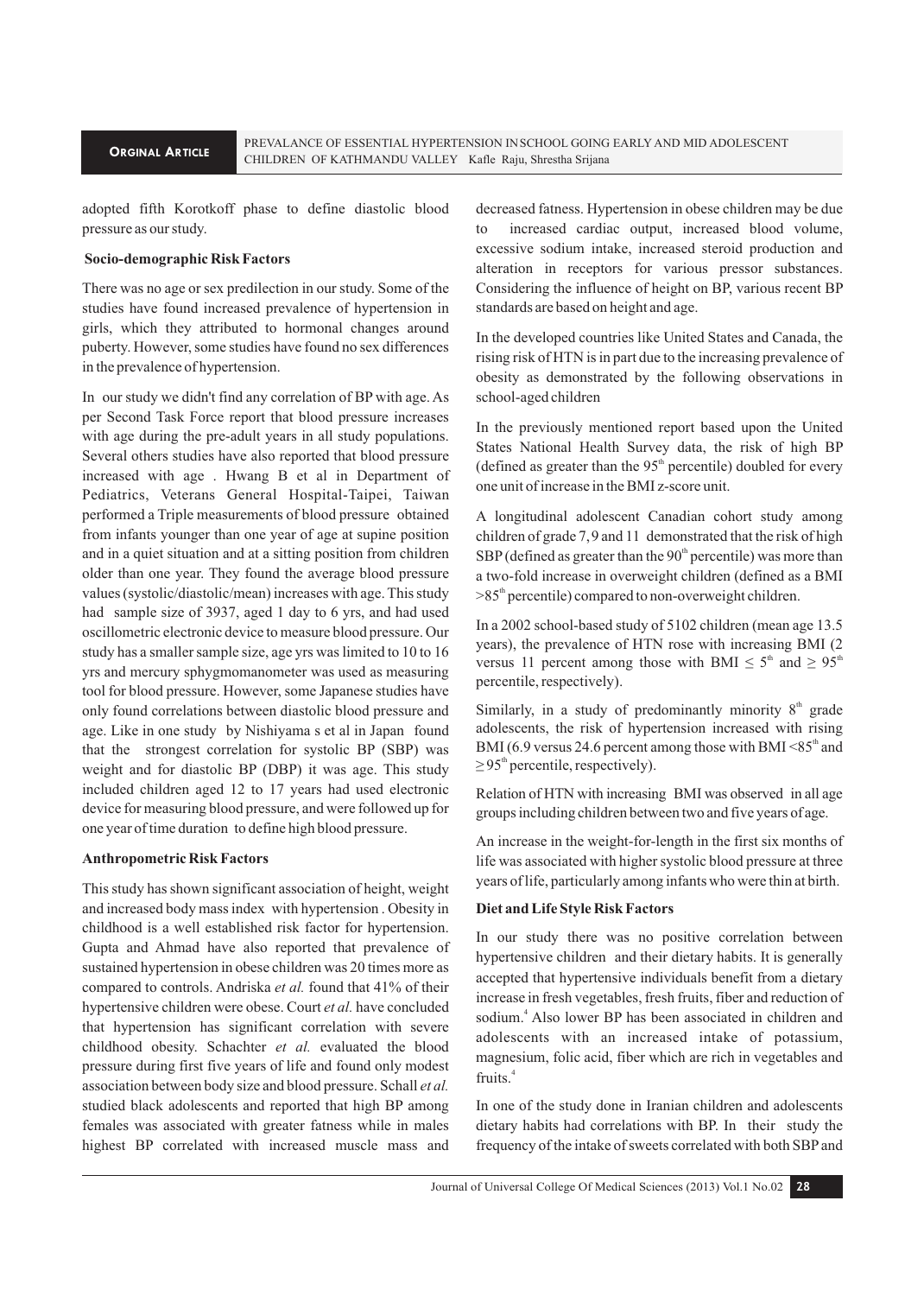adopted fifth Korotkoff phase to define diastolic blood pressure as our study.

### **Socio-demographic Risk Factors**

There was no age or sex predilection in our study. Some of the studies have found increased prevalence of hypertension in girls, which they attributed to hormonal changes around puberty. However, some studies have found no sex differences in the prevalence of hypertension.

In our study we didn't find any correlation of BP with age. As per Second Task Force report that blood pressure increases with age during the pre-adult years in all study populations. Several others studies have also reported that blood pressure increased with age . Hwang B et al in Department of Pediatrics, Veterans General Hospital-Taipei, Taiwan performed a Triple measurements of blood pressure obtained from infants younger than one year of age at supine position and in a quiet situation and at a sitting position from children older than one year. They found the average blood pressure values (systolic/diastolic/mean) increases with age. This study had sample size of 3937, aged 1 day to 6 yrs, and had used oscillometric electronic device to measure blood pressure. Our study has a smaller sample size, age yrs was limited to 10 to 16 yrs and mercury sphygmomanometer was used as measuring tool for blood pressure. However, some Japanese studies have only found correlations between diastolic blood pressure and age. Like in one study by Nishiyama s et al in Japan found that the strongest correlation for systolic BP (SBP) was weight and for diastolic BP (DBP) it was age. This study included children aged 12 to 17 years had used electronic device for measuring blood pressure, and were followed up for one year of time duration to define high blood pressure.

#### **Anthropometric Risk Factors**

This study has shown significant association of height, weight and increased body mass index with hypertension . Obesity in childhood is a well established risk factor for hypertension. Gupta and Ahmad have also reported that prevalence of sustained hypertension in obese children was 20 times more as compared to controls. Andriska *et al.* found that 41% of their hypertensive children were obese. Court *et al.* have concluded that hypertension has significant correlation with severe childhood obesity. Schachter *et al.* evaluated the blood pressure during first five years of life and found only modest association between body size and blood pressure. Schall *et al.*  studied black adolescents and reported that high BP among females was associated with greater fatness while in males highest BP correlated with increased muscle mass and

decreased fatness. Hypertension in obese children may be due to increased cardiac output, increased blood volume, excessive sodium intake, increased steroid production and alteration in receptors for various pressor substances. Considering the influence of height on BP, various recent BP standards are based on height and age.

In the developed countries like United States and Canada, the rising risk of HTN is in part due to the increasing prevalence of obesity as demonstrated by the following observations in school-aged children

In the previously mentioned report based upon the United States National Health Survey data, the risk of high BP (defined as greater than the  $95<sup>th</sup>$  percentile) doubled for every one unit of increase in the BMI z-score unit.

A longitudinal adolescent Canadian cohort study among children of grade 7,9 and 11 demonstrated that the risk of high  $SBP$  (defined as greater than the  $90<sup>th</sup>$  percentile) was more than a two-fold increase in overweight children (defined as a BMI  $>85<sup>th</sup>$  percentile) compared to non-overweight children.

In a 2002 school-based study of 5102 children (mean age 13.5 years), the prevalence of HTN rose with increasing BMI (2 versus 11 percent among those with BMI  $\leq 5^{\text{th}}$  and  $\geq 95^{\text{th}}$ percentile, respectively).

Similarly, in a study of predominantly minority  $8<sup>th</sup>$  grade adolescents, the risk of hypertension increased with rising BMI (6.9 versus 24.6 percent among those with BMI  $\leq 85^{\text{th}}$  and  $\geq$  95<sup>th</sup> percentile, respectively).

Relation of HTN with increasing BMI was observed in all age groups including children between two and five years of age.

An increase in the weight-for-length in the first six months of life was associated with higher systolic blood pressure at three years of life, particularly among infants who were thin at birth.

#### **Diet and Life Style Risk Factors**

In our study there was no positive correlation between hypertensive children and their dietary habits. It is generally accepted that hypertensive individuals benefit from a dietary increase in fresh vegetables, fresh fruits, fiber and reduction of sodium.<sup>4</sup> Also lower BP has been associated in children and adolescents with an increased intake of potassium, magnesium, folic acid, fiber which are rich in vegetables and fruits.<sup>4</sup>

In one of the study done in Iranian children and adolescents dietary habits had correlations with BP. In their study the frequency of the intake of sweets correlated with both SBP and